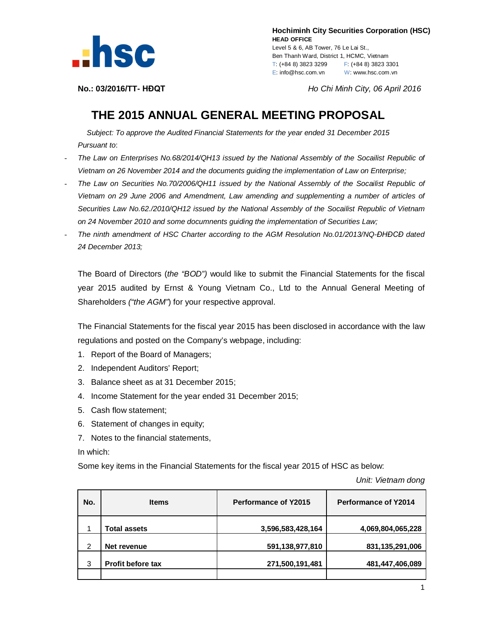

 **Hochiminh City Securities Corporation (HSC) HEAD OFFICE** Level 5 & 6, AB Tower, 76 Le Lai St., Ben Thanh Ward, District 1, HCMC, Vietnam T: (+84 8) 3823 3299 F: (+84 8) 3823 3301 E: info@hsc.com.vn W: www.hsc.com.vn

**No.: 03/2016/TT- HĐQT** *Ho Chi Minh City, 06 April 2016*

## **THE 2015 ANNUAL GENERAL MEETING PROPOSAL**

*Subject: To approve the Audited Financial Statements for the year ended 31 December 2015 Pursuant to*:

- *The Law on Enterprises No.68/2014/QH13 issued by the National Assembly of the Socailist Republic of Vietnam on 26 November 2014 and the documents guiding the implementation of Law on Enterprise;*
- *The Law on Securities No.70/2006/QH11 issued by the National Assembly of the Socailist Republic of Vietnam on 29 June 2006 and Amendment, Law amending and supplementing a number of articles of Securities Law No.62./2010/QH12 issued by the National Assembly of the Socailist Republic of Vietnam on 24 November 2010 and some documnents guiding the implementation of Securities Law;*
- *The ninth amendment of HSC Charter according to the AGM Resolution No.01/2013/NQ-ĐHĐCĐ dated 24 December 2013;*

The Board of Directors (*the "BOD")* would like to submit the Financial Statements for the fiscal year 2015 audited by Ernst & Young Vietnam Co., Ltd to the Annual General Meeting of Shareholders *("the AGM"*) for your respective approval.

The Financial Statements for the fiscal year 2015 has been disclosed in accordance with the law regulations and posted on the Company's webpage, including:

- 1. Report of the Board of Managers;
- 2. Independent Auditors' Report;
- 3. Balance sheet as at 31 December 2015;
- 4. Income Statement for the year ended 31 December 2015;
- 5. Cash flow statement;
- 6. Statement of changes in equity;
- 7. Notes to the financial statements,

## In which:

Some key items in the Financial Statements for the fiscal year 2015 of HSC as below:

*Unit: Vietnam dong*

| No. | <b>Items</b>             | <b>Performance of Y2015</b> | Performance of Y2014 |
|-----|--------------------------|-----------------------------|----------------------|
| 1   | <b>Total assets</b>      | 3,596,583,428,164           | 4,069,804,065,228    |
| 2   | Net revenue              | 591,138,977,810             | 831,135,291,006      |
| 3   | <b>Profit before tax</b> | 271,500,191,481             | 481,447,406,089      |
|     |                          |                             |                      |